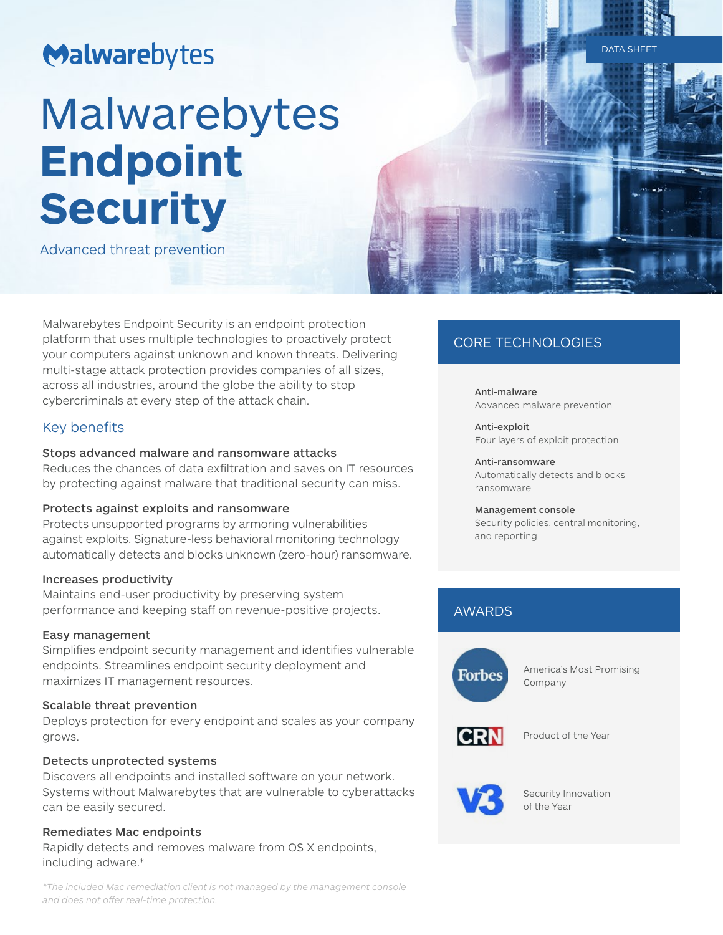# Malwarebytes

# Malwarebytes **Endpoint Security**

Advanced threat prevention

Malwarebytes Endpoint Security is an endpoint protection platform that uses multiple technologies to proactively protect your computers against unknown and known threats. Delivering multi-stage attack protection provides companies of all sizes, across all industries, around the globe the ability to stop cybercriminals at every step of the attack chain.

# Key benefits

# Stops advanced malware and ransomware attacks

Reduces the chances of data exfiltration and saves on IT resources by protecting against malware that traditional security can miss.

# Protects against exploits and ransomware

Protects unsupported programs by armoring vulnerabilities against exploits. Signature-less behavioral monitoring technology automatically detects and blocks unknown (zero-hour) ransomware.

## Increases productivity

Maintains end-user productivity by preserving system performance and keeping staff on revenue-positive projects.

## Easy management

Simplifies endpoint security management and identifies vulnerable endpoints. Streamlines endpoint security deployment and maximizes IT management resources.

## Scalable threat prevention

Deploys protection for every endpoint and scales as your company grows.

# Detects unprotected systems

Discovers all endpoints and installed software on your network. Systems without Malwarebytes that are vulnerable to cyberattacks can be easily secured.

# Remediates Mac endpoints

Rapidly detects and removes malware from OS X endpoints, including adware.\*

#### *\*The included Mac remediation client is not managed by the management console and does not offer real-time protection.*

# CORE TECHNOLOGIES

Anti-malware Advanced malware prevention

Anti-exploit Four layers of exploit protection

Anti-ransomware Automatically detects and blocks ransomware

## Management console

Security policies, central monitoring, and reporting

# AWARDS